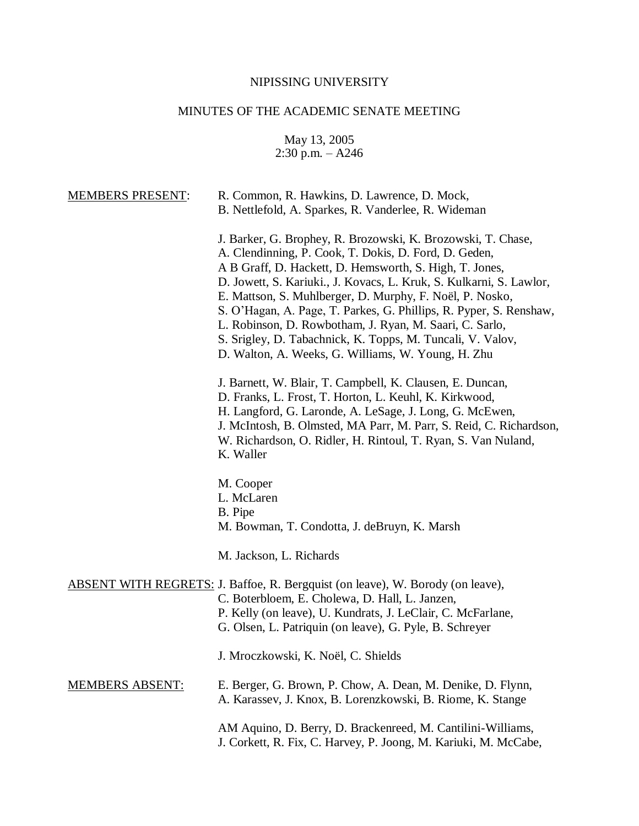# NIPISSING UNIVERSITY

# MINUTES OF THE ACADEMIC SENATE MEETING

May 13, 2005 2:30 p.m. – A246

| <b>MEMBERS PRESENT:</b> | R. Common, R. Hawkins, D. Lawrence, D. Mock,<br>B. Nettlefold, A. Sparkes, R. Vanderlee, R. Wideman                                                                                                                                                                                                                                                                                                                                                                                                                                                                      |
|-------------------------|--------------------------------------------------------------------------------------------------------------------------------------------------------------------------------------------------------------------------------------------------------------------------------------------------------------------------------------------------------------------------------------------------------------------------------------------------------------------------------------------------------------------------------------------------------------------------|
|                         | J. Barker, G. Brophey, R. Brozowski, K. Brozowski, T. Chase,<br>A. Clendinning, P. Cook, T. Dokis, D. Ford, D. Geden,<br>A B Graff, D. Hackett, D. Hemsworth, S. High, T. Jones,<br>D. Jowett, S. Kariuki., J. Kovacs, L. Kruk, S. Kulkarni, S. Lawlor,<br>E. Mattson, S. Muhlberger, D. Murphy, F. Noël, P. Nosko,<br>S. O'Hagan, A. Page, T. Parkes, G. Phillips, R. Pyper, S. Renshaw,<br>L. Robinson, D. Rowbotham, J. Ryan, M. Saari, C. Sarlo,<br>S. Srigley, D. Tabachnick, K. Topps, M. Tuncali, V. Valov,<br>D. Walton, A. Weeks, G. Williams, W. Young, H. Zhu |
|                         | J. Barnett, W. Blair, T. Campbell, K. Clausen, E. Duncan,<br>D. Franks, L. Frost, T. Horton, L. Keuhl, K. Kirkwood,<br>H. Langford, G. Laronde, A. LeSage, J. Long, G. McEwen,<br>J. McIntosh, B. Olmsted, MA Parr, M. Parr, S. Reid, C. Richardson,<br>W. Richardson, O. Ridler, H. Rintoul, T. Ryan, S. Van Nuland,<br>K. Waller                                                                                                                                                                                                                                       |
|                         | M. Cooper<br>L. McLaren<br>B. Pipe<br>M. Bowman, T. Condotta, J. deBruyn, K. Marsh                                                                                                                                                                                                                                                                                                                                                                                                                                                                                       |
|                         | M. Jackson, L. Richards                                                                                                                                                                                                                                                                                                                                                                                                                                                                                                                                                  |
|                         | <b>ABSENT WITH REGRETS: J. Baffoe, R. Bergquist (on leave), W. Borody (on leave),</b><br>C. Boterbloem, E. Cholewa, D. Hall, L. Janzen,<br>P. Kelly (on leave), U. Kundrats, J. LeClair, C. McFarlane,<br>G. Olsen, L. Patriquin (on leave), G. Pyle, B. Schreyer                                                                                                                                                                                                                                                                                                        |
|                         | J. Mroczkowski, K. Noël, C. Shields                                                                                                                                                                                                                                                                                                                                                                                                                                                                                                                                      |
| <b>MEMBERS ABSENT:</b>  | E. Berger, G. Brown, P. Chow, A. Dean, M. Denike, D. Flynn,<br>A. Karassev, J. Knox, B. Lorenzkowski, B. Riome, K. Stange                                                                                                                                                                                                                                                                                                                                                                                                                                                |
|                         | AM Aquino, D. Berry, D. Brackenreed, M. Cantilini-Williams,<br>J. Corkett, R. Fix, C. Harvey, P. Joong, M. Kariuki, M. McCabe,                                                                                                                                                                                                                                                                                                                                                                                                                                           |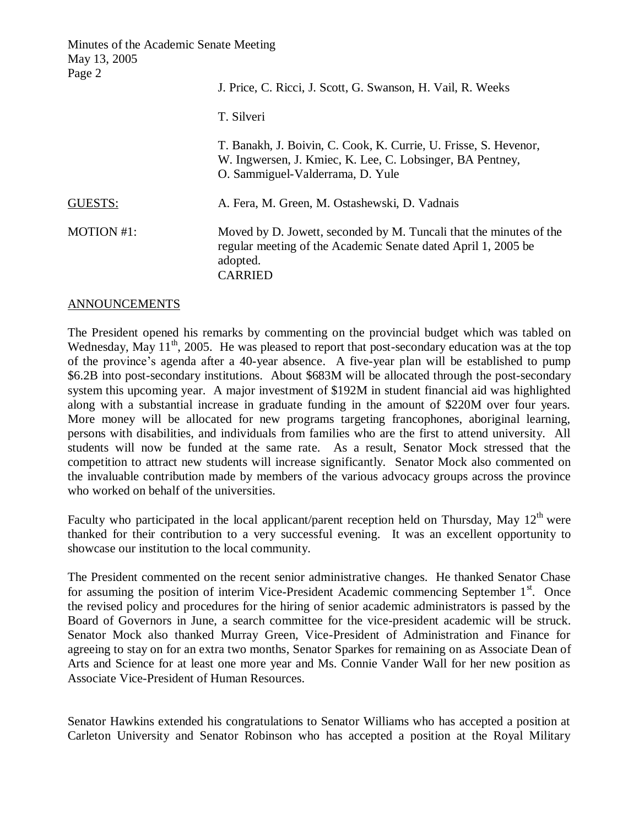Minutes of the Academic Senate Meeting May 13, 2005  $P_{30}$  $\rho$ 

| $1 \, \text{a}$ gu $\mu$ | J. Price, C. Ricci, J. Scott, G. Swanson, H. Vail, R. Weeks                                                                                                       |
|--------------------------|-------------------------------------------------------------------------------------------------------------------------------------------------------------------|
|                          | T. Silveri                                                                                                                                                        |
|                          | T. Banakh, J. Boivin, C. Cook, K. Currie, U. Frisse, S. Hevenor,<br>W. Ingwersen, J. Kmiec, K. Lee, C. Lobsinger, BA Pentney,<br>O. Sammiguel-Valderrama, D. Yule |
| <b>GUESTS:</b>           | A. Fera, M. Green, M. Ostashewski, D. Vadnais                                                                                                                     |
| MOTION #1:               | Moved by D. Jowett, seconded by M. Tuncali that the minutes of the<br>regular meeting of the Academic Senate dated April 1, 2005 be<br>adopted.<br><b>CARRIED</b> |

#### ANNOUNCEMENTS

The President opened his remarks by commenting on the provincial budget which was tabled on Wednesday, May 11<sup>th</sup>, 2005. He was pleased to report that post-secondary education was at the top of the province's agenda after a 40-year absence. A five-year plan will be established to pump \$6.2B into post-secondary institutions. About \$683M will be allocated through the post-secondary system this upcoming year. A major investment of \$192M in student financial aid was highlighted along with a substantial increase in graduate funding in the amount of \$220M over four years. More money will be allocated for new programs targeting francophones, aboriginal learning, persons with disabilities, and individuals from families who are the first to attend university. All students will now be funded at the same rate. As a result, Senator Mock stressed that the competition to attract new students will increase significantly. Senator Mock also commented on the invaluable contribution made by members of the various advocacy groups across the province who worked on behalf of the universities.

Faculty who participated in the local applicant/parent reception held on Thursday, May  $12<sup>th</sup>$  were thanked for their contribution to a very successful evening. It was an excellent opportunity to showcase our institution to the local community.

The President commented on the recent senior administrative changes. He thanked Senator Chase for assuming the position of interim Vice-President Academic commencing September 1<sup>st</sup>. Once the revised policy and procedures for the hiring of senior academic administrators is passed by the Board of Governors in June, a search committee for the vice-president academic will be struck. Senator Mock also thanked Murray Green, Vice-President of Administration and Finance for agreeing to stay on for an extra two months, Senator Sparkes for remaining on as Associate Dean of Arts and Science for at least one more year and Ms. Connie Vander Wall for her new position as Associate Vice-President of Human Resources.

Senator Hawkins extended his congratulations to Senator Williams who has accepted a position at Carleton University and Senator Robinson who has accepted a position at the Royal Military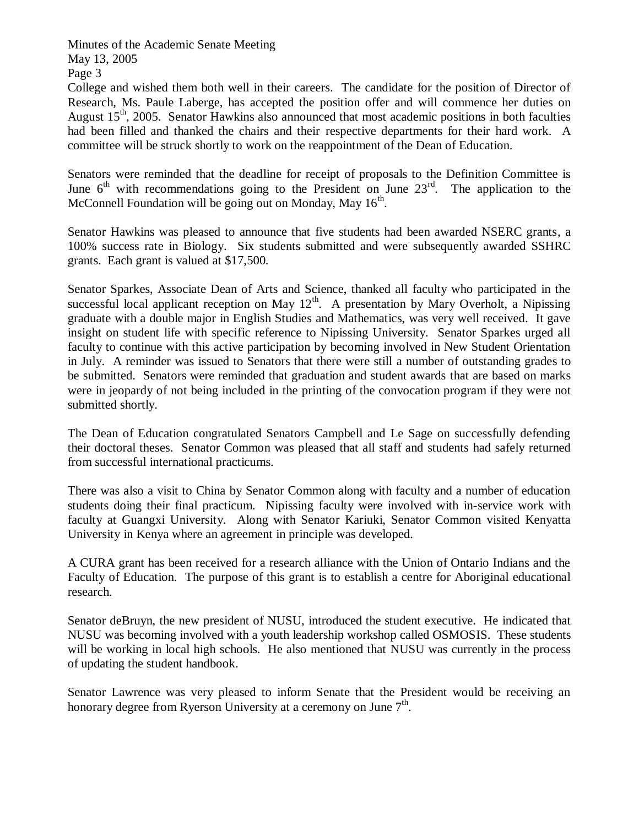Page 3

College and wished them both well in their careers. The candidate for the position of Director of Research, Ms. Paule Laberge, has accepted the position offer and will commence her duties on August  $15<sup>th</sup>$ , 2005. Senator Hawkins also announced that most academic positions in both faculties had been filled and thanked the chairs and their respective departments for their hard work. A committee will be struck shortly to work on the reappointment of the Dean of Education.

Senators were reminded that the deadline for receipt of proposals to the Definition Committee is June  $6<sup>th</sup>$  with recommendations going to the President on June  $23<sup>rd</sup>$ . The application to the McConnell Foundation will be going out on Monday, May  $16<sup>th</sup>$ .

Senator Hawkins was pleased to announce that five students had been awarded NSERC grants, a 100% success rate in Biology. Six students submitted and were subsequently awarded SSHRC grants. Each grant is valued at \$17,500.

Senator Sparkes, Associate Dean of Arts and Science, thanked all faculty who participated in the successful local applicant reception on May  $12^{th}$ . A presentation by Mary Overholt, a Nipissing graduate with a double major in English Studies and Mathematics, was very well received. It gave insight on student life with specific reference to Nipissing University. Senator Sparkes urged all faculty to continue with this active participation by becoming involved in New Student Orientation in July. A reminder was issued to Senators that there were still a number of outstanding grades to be submitted. Senators were reminded that graduation and student awards that are based on marks were in jeopardy of not being included in the printing of the convocation program if they were not submitted shortly.

The Dean of Education congratulated Senators Campbell and Le Sage on successfully defending their doctoral theses. Senator Common was pleased that all staff and students had safely returned from successful international practicums.

There was also a visit to China by Senator Common along with faculty and a number of education students doing their final practicum. Nipissing faculty were involved with in-service work with faculty at Guangxi University. Along with Senator Kariuki, Senator Common visited Kenyatta University in Kenya where an agreement in principle was developed.

A CURA grant has been received for a research alliance with the Union of Ontario Indians and the Faculty of Education. The purpose of this grant is to establish a centre for Aboriginal educational research.

Senator deBruyn, the new president of NUSU, introduced the student executive. He indicated that NUSU was becoming involved with a youth leadership workshop called OSMOSIS. These students will be working in local high schools. He also mentioned that NUSU was currently in the process of updating the student handbook.

Senator Lawrence was very pleased to inform Senate that the President would be receiving an honorary degree from Ryerson University at a ceremony on June  $7<sup>th</sup>$ .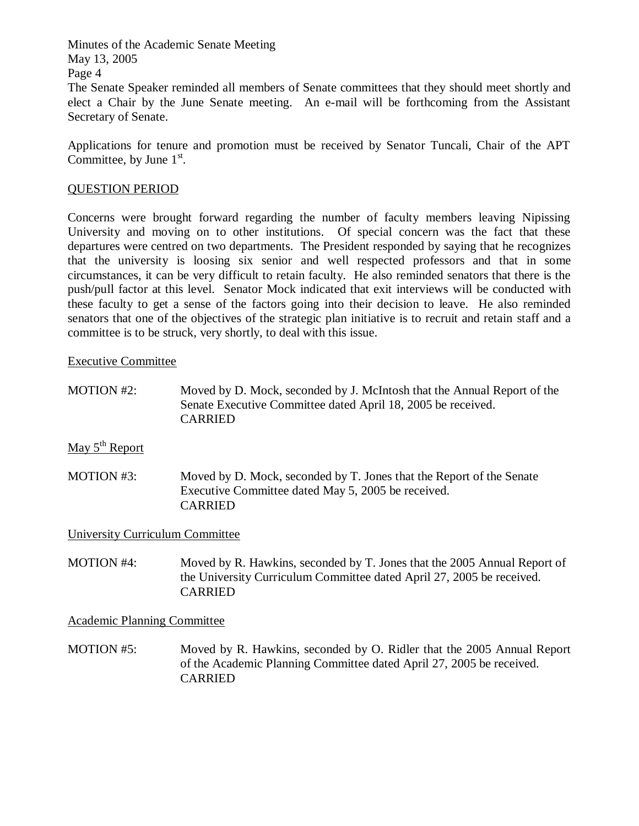The Senate Speaker reminded all members of Senate committees that they should meet shortly and elect a Chair by the June Senate meeting. An e-mail will be forthcoming from the Assistant Secretary of Senate.

Applications for tenure and promotion must be received by Senator Tuncali, Chair of the APT Committee, by June  $1<sup>st</sup>$ .

### QUESTION PERIOD

Concerns were brought forward regarding the number of faculty members leaving Nipissing University and moving on to other institutions. Of special concern was the fact that these departures were centred on two departments. The President responded by saying that he recognizes that the university is loosing six senior and well respected professors and that in some circumstances, it can be very difficult to retain faculty. He also reminded senators that there is the push/pull factor at this level. Senator Mock indicated that exit interviews will be conducted with these faculty to get a sense of the factors going into their decision to leave. He also reminded senators that one of the objectives of the strategic plan initiative is to recruit and retain staff and a committee is to be struck, very shortly, to deal with this issue.

#### Executive Committee

MOTION #2: Moved by D. Mock, seconded by J. McIntosh that the Annual Report of the Senate Executive Committee dated April 18, 2005 be received. CARRIED

May  $5<sup>th</sup>$  Report

MOTION #3: Moved by D. Mock, seconded by T. Jones that the Report of the Senate Executive Committee dated May 5, 2005 be received. CARRIED

University Curriculum Committee

MOTION #4: Moved by R. Hawkins, seconded by T. Jones that the 2005 Annual Report of the University Curriculum Committee dated April 27, 2005 be received. CARRIED

Academic Planning Committee

MOTION #5: Moved by R. Hawkins, seconded by O. Ridler that the 2005 Annual Report of the Academic Planning Committee dated April 27, 2005 be received. CARRIED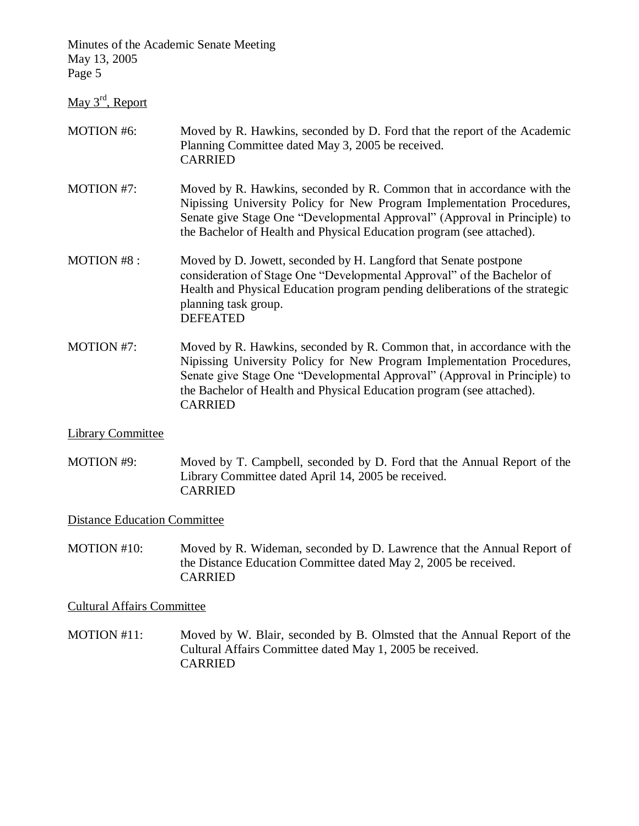May 3<sup>rd</sup>, Report

### MOTION #6: Moved by R. Hawkins, seconded by D. Ford that the report of the Academic Planning Committee dated May 3, 2005 be received. CARRIED

- MOTION #7: Moved by R. Hawkins, seconded by R. Common that in accordance with the Nipissing University Policy for New Program Implementation Procedures, Senate give Stage One "Developmental Approval" (Approval in Principle) to the Bachelor of Health and Physical Education program (see attached).
- MOTION #8 : Moved by D. Jowett, seconded by H. Langford that Senate postpone consideration of Stage One "Developmental Approval" of the Bachelor of Health and Physical Education program pending deliberations of the strategic planning task group. DEFEATED
- MOTION #7: Moved by R. Hawkins, seconded by R. Common that, in accordance with the Nipissing University Policy for New Program Implementation Procedures, Senate give Stage One "Developmental Approval" (Approval in Principle) to the Bachelor of Health and Physical Education program (see attached). CARRIED

### Library Committee

MOTION #9: Moved by T. Campbell, seconded by D. Ford that the Annual Report of the Library Committee dated April 14, 2005 be received. CARRIED

#### Distance Education Committee

MOTION #10: Moved by R. Wideman, seconded by D. Lawrence that the Annual Report of the Distance Education Committee dated May 2, 2005 be received. CARRIED

#### Cultural Affairs Committee

MOTION #11: Moved by W. Blair, seconded by B. Olmsted that the Annual Report of the Cultural Affairs Committee dated May 1, 2005 be received. CARRIED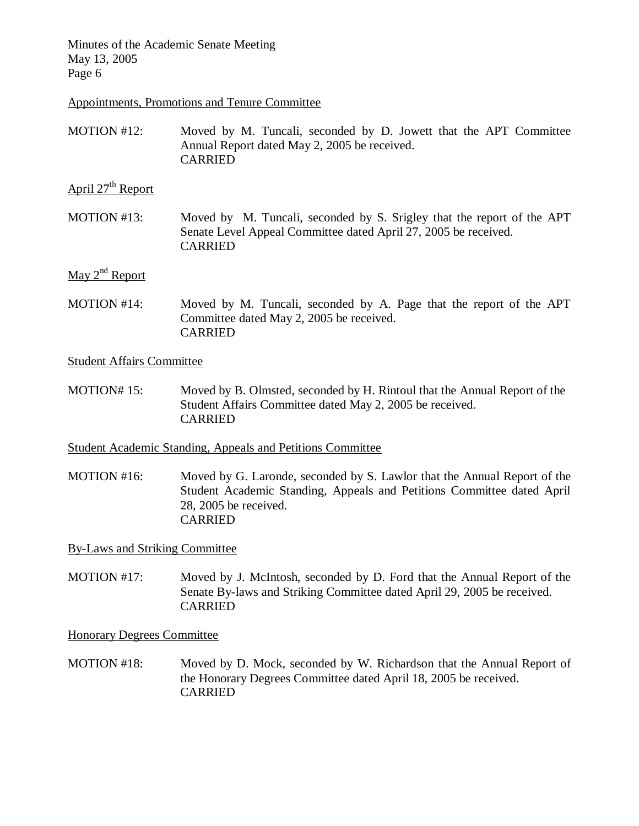Appointments, Promotions and Tenure Committee

MOTION #12: Moved by M. Tuncali, seconded by D. Jowett that the APT Committee Annual Report dated May 2, 2005 be received. CARRIED

April  $27<sup>th</sup>$  Report

MOTION #13: Moved by M. Tuncali, seconded by S. Srigley that the report of the APT Senate Level Appeal Committee dated April 27, 2005 be received. CARRIED

# May  $2^{nd}$  Report

MOTION #14: Moved by M. Tuncali, seconded by A. Page that the report of the APT Committee dated May 2, 2005 be received. CARRIED

Student Affairs Committee

MOTION# 15: Moved by B. Olmsted, seconded by H. Rintoul that the Annual Report of the Student Affairs Committee dated May 2, 2005 be received. CARRIED

Student Academic Standing, Appeals and Petitions Committee

MOTION #16: Moved by G. Laronde, seconded by S. Lawlor that the Annual Report of the Student Academic Standing, Appeals and Petitions Committee dated April 28, 2005 be received. CARRIED

By-Laws and Striking Committee

MOTION #17: Moved by J. McIntosh, seconded by D. Ford that the Annual Report of the Senate By-laws and Striking Committee dated April 29, 2005 be received. CARRIED

Honorary Degrees Committee

MOTION #18: Moved by D. Mock, seconded by W. Richardson that the Annual Report of the Honorary Degrees Committee dated April 18, 2005 be received. CARRIED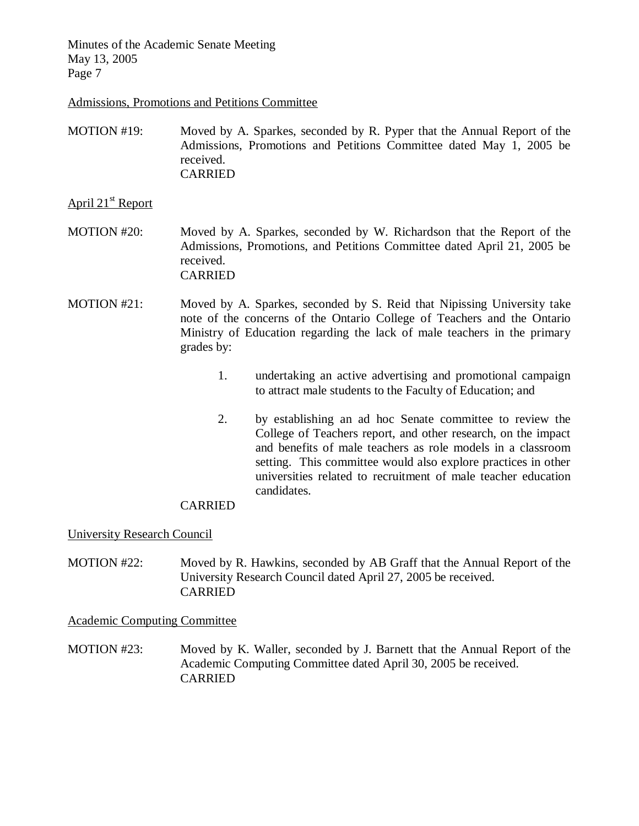Admissions, Promotions and Petitions Committee

MOTION #19: Moved by A. Sparkes, seconded by R. Pyper that the Annual Report of the Admissions, Promotions and Petitions Committee dated May 1, 2005 be received. CARRIED

### April 21<sup>st</sup> Report

- MOTION #20: Moved by A. Sparkes, seconded by W. Richardson that the Report of the Admissions, Promotions, and Petitions Committee dated April 21, 2005 be received. CARRIED
- MOTION #21: Moved by A. Sparkes, seconded by S. Reid that Nipissing University take note of the concerns of the Ontario College of Teachers and the Ontario Ministry of Education regarding the lack of male teachers in the primary grades by:
	- 1. undertaking an active advertising and promotional campaign to attract male students to the Faculty of Education; and
	- 2. by establishing an ad hoc Senate committee to review the College of Teachers report, and other research, on the impact and benefits of male teachers as role models in a classroom setting. This committee would also explore practices in other universities related to recruitment of male teacher education candidates.

### CARRIED

#### University Research Council

MOTION #22: Moved by R. Hawkins, seconded by AB Graff that the Annual Report of the University Research Council dated April 27, 2005 be received. CARRIED

Academic Computing Committee

MOTION #23: Moved by K. Waller, seconded by J. Barnett that the Annual Report of the Academic Computing Committee dated April 30, 2005 be received. CARRIED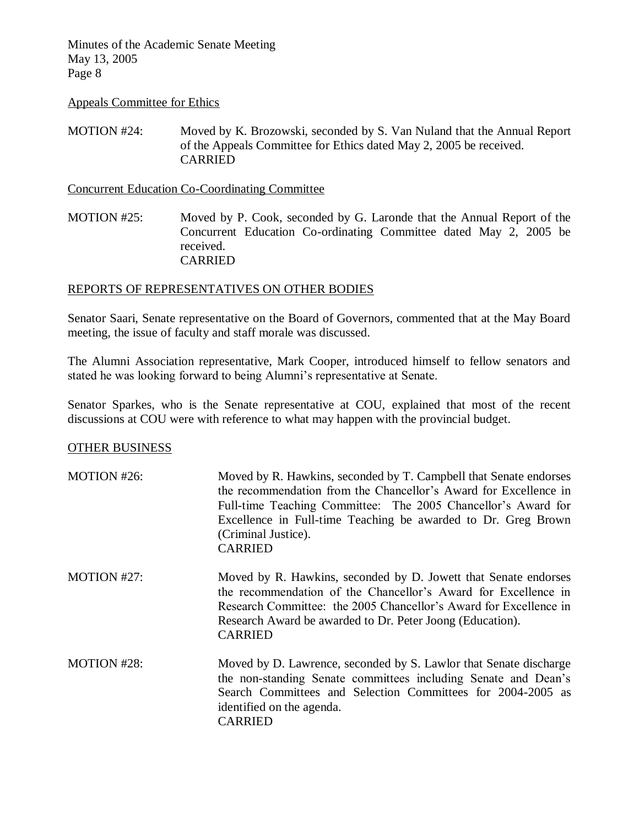#### Appeals Committee for Ethics

MOTION #24: Moved by K. Brozowski, seconded by S. Van Nuland that the Annual Report of the Appeals Committee for Ethics dated May 2, 2005 be received. CARRIED

Concurrent Education Co-Coordinating Committee

MOTION #25: Moved by P. Cook, seconded by G. Laronde that the Annual Report of the Concurrent Education Co-ordinating Committee dated May 2, 2005 be received. CARRIED

### REPORTS OF REPRESENTATIVES ON OTHER BODIES

Senator Saari, Senate representative on the Board of Governors, commented that at the May Board meeting, the issue of faculty and staff morale was discussed.

The Alumni Association representative, Mark Cooper, introduced himself to fellow senators and stated he was looking forward to being Alumni's representative at Senate.

Senator Sparkes, who is the Senate representative at COU, explained that most of the recent discussions at COU were with reference to what may happen with the provincial budget.

#### OTHER BUSINESS

| MOTION #26:        | Moved by R. Hawkins, seconded by T. Campbell that Senate endorses<br>the recommendation from the Chancellor's Award for Excellence in<br>Full-time Teaching Committee: The 2005 Chancellor's Award for<br>Excellence in Full-time Teaching be awarded to Dr. Greg Brown<br>(Criminal Justice).<br><b>CARRIED</b> |
|--------------------|------------------------------------------------------------------------------------------------------------------------------------------------------------------------------------------------------------------------------------------------------------------------------------------------------------------|
| MOTION #27:        | Moved by R. Hawkins, seconded by D. Jowett that Senate endorses<br>the recommendation of the Chancellor's Award for Excellence in<br>Research Committee: the 2005 Chancellor's Award for Excellence in<br>Research Award be awarded to Dr. Peter Joong (Education).<br><b>CARRIED</b>                            |
| <b>MOTION #28:</b> | Moved by D. Lawrence, seconded by S. Lawlor that Senate discharge<br>the non-standing Senate committees including Senate and Dean's<br>Search Committees and Selection Committees for 2004-2005 as<br>identified on the agenda.<br><b>CARRIED</b>                                                                |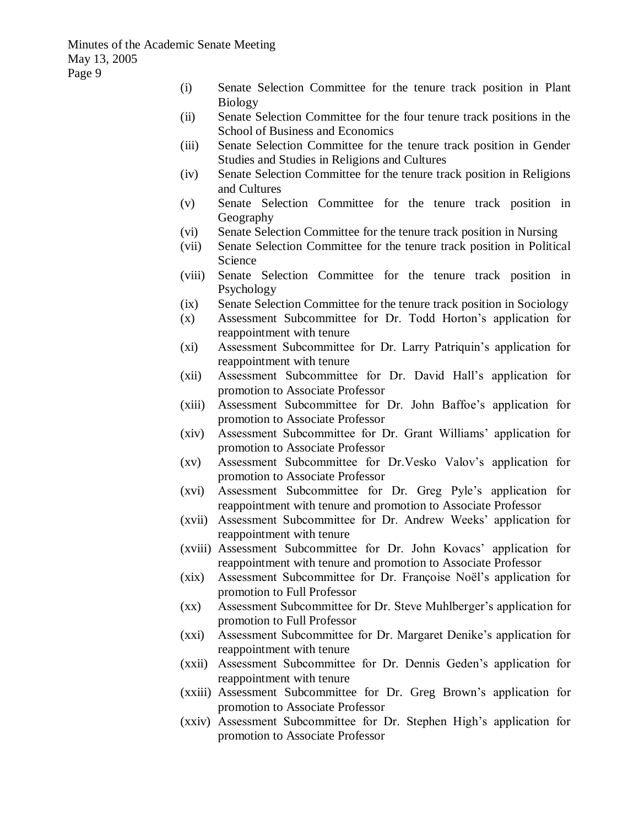- (i) Senate Selection Committee for the tenure track position in Plant Biology
- (ii) Senate Selection Committee for the four tenure track positions in the School of Business and Economics
- (iii) Senate Selection Committee for the tenure track position in Gender Studies and Studies in Religions and Cultures
- (iv) Senate Selection Committee for the tenure track position in Religions and Cultures
- (v) Senate Selection Committee for the tenure track position in Geography
- (vi) Senate Selection Committee for the tenure track position in Nursing
- (vii) Senate Selection Committee for the tenure track position in Political Science
- (viii) Senate Selection Committee for the tenure track position in Psychology
- (ix) Senate Selection Committee for the tenure track position in Sociology
- (x) Assessment Subcommittee for Dr. Todd Horton's application for reappointment with tenure
- (xi) Assessment Subcommittee for Dr. Larry Patriquin's application for reappointment with tenure
- (xii) Assessment Subcommittee for Dr. David Hall's application for promotion to Associate Professor
- (xiii) Assessment Subcommittee for Dr. John Baffoe's application for promotion to Associate Professor
- (xiv) Assessment Subcommittee for Dr. Grant Williams' application for promotion to Associate Professor
- (xv) Assessment Subcommittee for Dr.Vesko Valov's application for promotion to Associate Professor
- (xvi) Assessment Subcommittee for Dr. Greg Pyle's application for reappointment with tenure and promotion to Associate Professor
- (xvii) Assessment Subcommittee for Dr. Andrew Weeks' application for reappointment with tenure
- (xviii) Assessment Subcommittee for Dr. John Kovacs' application for reappointment with tenure and promotion to Associate Professor
- (xix) Assessment Subcommittee for Dr. Françoise Noël's application for promotion to Full Professor
- (xx) Assessment Subcommittee for Dr. Steve Muhlberger's application for promotion to Full Professor
- (xxi) Assessment Subcommittee for Dr. Margaret Denike's application for reappointment with tenure
- (xxii) Assessment Subcommittee for Dr. Dennis Geden's application for reappointment with tenure
- (xxiii) Assessment Subcommittee for Dr. Greg Brown's application for promotion to Associate Professor
- (xxiv) Assessment Subcommittee for Dr. Stephen High's application for promotion to Associate Professor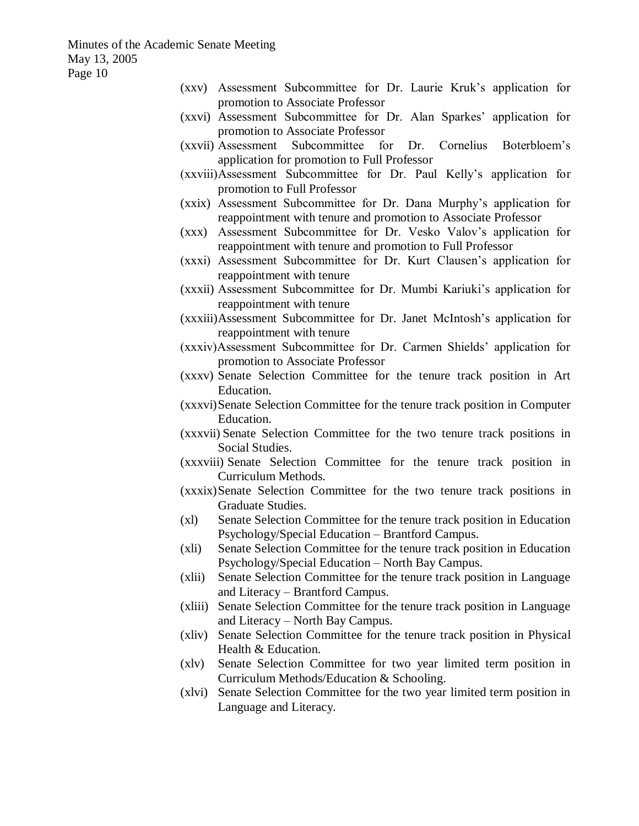- (xxv) Assessment Subcommittee for Dr. Laurie Kruk's application for promotion to Associate Professor (xxvi) Assessment Subcommittee for Dr. Alan Sparkes' application for promotion to Associate Professor (xxvii) Assessment Subcommittee for Dr. Cornelius Boterbloem's application for promotion to Full Professor (xxviii)Assessment Subcommittee for Dr. Paul Kelly's application for promotion to Full Professor (xxix) Assessment Subcommittee for Dr. Dana Murphy's application for reappointment with tenure and promotion to Associate Professor (xxx) Assessment Subcommittee for Dr. Vesko Valov's application for reappointment with tenure and promotion to Full Professor (xxxi) Assessment Subcommittee for Dr. Kurt Clausen's application for reappointment with tenure (xxxii) Assessment Subcommittee for Dr. Mumbi Kariuki's application for reappointment with tenure (xxxiii)Assessment Subcommittee for Dr. Janet McIntosh's application for reappointment with tenure (xxxiv)Assessment Subcommittee for Dr. Carmen Shields' application for promotion to Associate Professor (xxxv) Senate Selection Committee for the tenure track position in Art Education. (xxxvi)Senate Selection Committee for the tenure track position in Computer Education.
	- (xxxvii) Senate Selection Committee for the two tenure track positions in Social Studies.
	- (xxxviii) Senate Selection Committee for the tenure track position in Curriculum Methods.
	- (xxxix)Senate Selection Committee for the two tenure track positions in Graduate Studies.
	- (xl) Senate Selection Committee for the tenure track position in Education Psychology/Special Education – Brantford Campus.
	- (xli) Senate Selection Committee for the tenure track position in Education Psychology/Special Education – North Bay Campus.
	- (xlii) Senate Selection Committee for the tenure track position in Language and Literacy – Brantford Campus.
	- (xliii) Senate Selection Committee for the tenure track position in Language and Literacy – North Bay Campus.
	- (xliv) Senate Selection Committee for the tenure track position in Physical Health & Education.
	- (xlv) Senate Selection Committee for two year limited term position in Curriculum Methods/Education & Schooling.
	- (xlvi) Senate Selection Committee for the two year limited term position in Language and Literacy.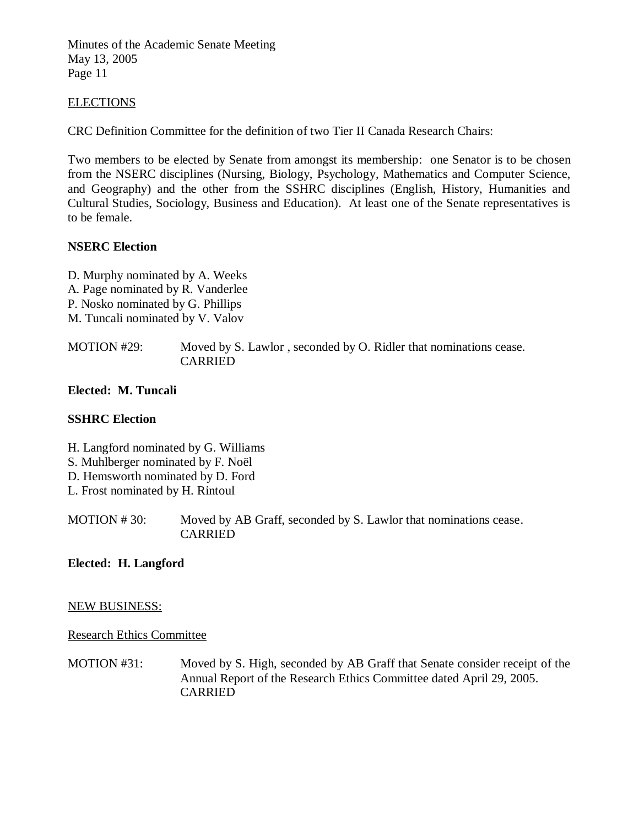#### ELECTIONS

CRC Definition Committee for the definition of two Tier II Canada Research Chairs:

Two members to be elected by Senate from amongst its membership: one Senator is to be chosen from the NSERC disciplines (Nursing, Biology, Psychology, Mathematics and Computer Science, and Geography) and the other from the SSHRC disciplines (English, History, Humanities and Cultural Studies, Sociology, Business and Education). At least one of the Senate representatives is to be female.

### **NSERC Election**

D. Murphy nominated by A. Weeks A. Page nominated by R. Vanderlee P. Nosko nominated by G. Phillips M. Tuncali nominated by V. Valov

MOTION #29: Moved by S. Lawlor , seconded by O. Ridler that nominations cease. CARRIED

**Elected: M. Tuncali**

### **SSHRC Election**

H. Langford nominated by G. Williams

- S. Muhlberger nominated by F. Noël
- D. Hemsworth nominated by D. Ford
- L. Frost nominated by H. Rintoul

MOTION # 30: Moved by AB Graff, seconded by S. Lawlor that nominations cease. CARRIED

### **Elected: H. Langford**

#### NEW BUSINESS:

#### Research Ethics Committee

MOTION #31: Moved by S. High, seconded by AB Graff that Senate consider receipt of the Annual Report of the Research Ethics Committee dated April 29, 2005. CARRIED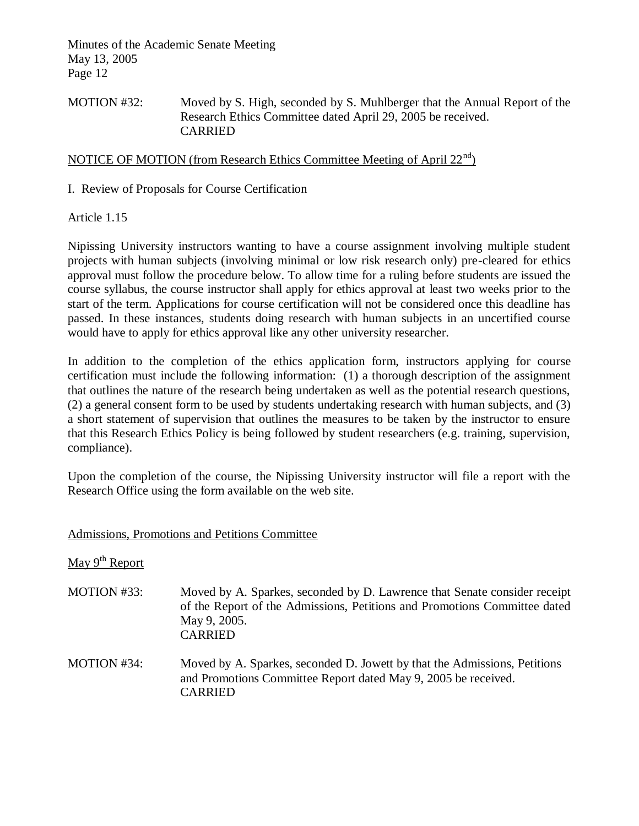# MOTION #32: Moved by S. High, seconded by S. Muhlberger that the Annual Report of the Research Ethics Committee dated April 29, 2005 be received. CARRIED

# NOTICE OF MOTION (from Research Ethics Committee Meeting of April 22<sup>nd</sup>)

I. Review of Proposals for Course Certification

Article 1.15

Nipissing University instructors wanting to have a course assignment involving multiple student projects with human subjects (involving minimal or low risk research only) pre-cleared for ethics approval must follow the procedure below. To allow time for a ruling before students are issued the course syllabus, the course instructor shall apply for ethics approval at least two weeks prior to the start of the term. Applications for course certification will not be considered once this deadline has passed. In these instances, students doing research with human subjects in an uncertified course would have to apply for ethics approval like any other university researcher.

In addition to the completion of the ethics application form, instructors applying for course certification must include the following information: (1) a thorough description of the assignment that outlines the nature of the research being undertaken as well as the potential research questions, (2) a general consent form to be used by students undertaking research with human subjects, and (3) a short statement of supervision that outlines the measures to be taken by the instructor to ensure that this Research Ethics Policy is being followed by student researchers (e.g. training, supervision, compliance).

Upon the completion of the course, the Nipissing University instructor will file a report with the Research Office using the form available on the web site.

| Admissions, Promotions and Petitions Committee |                                                                                                                                                                                          |  |
|------------------------------------------------|------------------------------------------------------------------------------------------------------------------------------------------------------------------------------------------|--|
| May 9 <sup>th</sup> Report                     |                                                                                                                                                                                          |  |
| MOTION #33:                                    | Moved by A. Sparkes, seconded by D. Lawrence that Senate consider receipt<br>of the Report of the Admissions, Petitions and Promotions Committee dated<br>May 9, 2005.<br><b>CARRIED</b> |  |
| MOTION #34:                                    | Moved by A. Sparkes, seconded D. Jowett by that the Admissions, Petitions<br>and Promotions Committee Report dated May 9, 2005 be received.<br><b>CARRIED</b>                            |  |